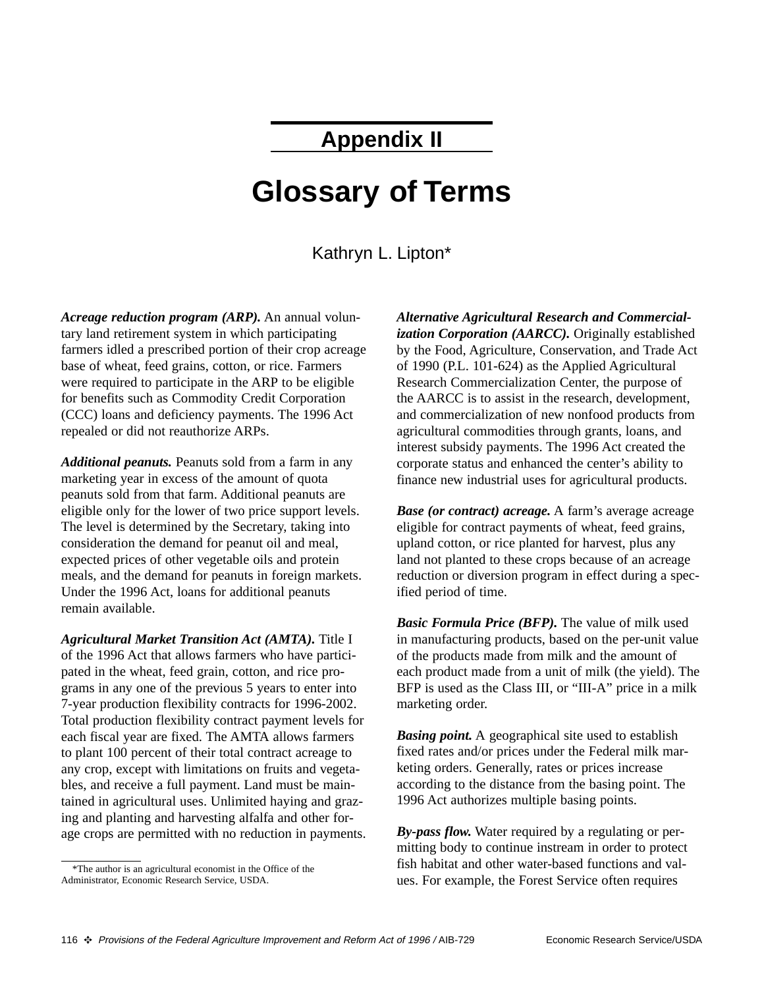# **Appendix II**

# **Glossary of Terms**

Kathryn L. Lipton\*

*Acreage reduction program (ARP).* An annual voluntary land retirement system in which participating farmers idled a prescribed portion of their crop acreage base of wheat, feed grains, cotton, or rice. Farmers were required to participate in the ARP to be eligible for benefits such as Commodity Credit Corporation (CCC) loans and deficiency payments. The 1996 Act repealed or did not reauthorize ARPs.

*Additional peanuts.* Peanuts sold from a farm in any marketing year in excess of the amount of quota peanuts sold from that farm. Additional peanuts are eligible only for the lower of two price support levels. The level is determined by the Secretary, taking into consideration the demand for peanut oil and meal, expected prices of other vegetable oils and protein meals, and the demand for peanuts in foreign markets. Under the 1996 Act, loans for additional peanuts remain available.

*Agricultural Market Transition Act (AMTA).* Title I of the 1996 Act that allows farmers who have participated in the wheat, feed grain, cotton, and rice programs in any one of the previous 5 years to enter into 7-year production flexibility contracts for 1996-2002. Total production flexibility contract payment levels for each fiscal year are fixed. The AMTA allows farmers to plant 100 percent of their total contract acreage to any crop, except with limitations on fruits and vegetables, and receive a full payment. Land must be maintained in agricultural uses. Unlimited haying and grazing and planting and harvesting alfalfa and other forage crops are permitted with no reduction in payments.

\*The author is an agricultural economist in the Office of the Administrator, Economic Research Service, USDA.

*Alternative Agricultural Research and Commercialization Corporation (AARCC).* Originally established by the Food, Agriculture, Conservation, and Trade Act of 1990 (P.L. 101-624) as the Applied Agricultural Research Commercialization Center, the purpose of the AARCC is to assist in the research, development, and commercialization of new nonfood products from agricultural commodities through grants, loans, and interest subsidy payments. The 1996 Act created the corporate status and enhanced the center's ability to finance new industrial uses for agricultural products.

*Base (or contract) acreage.* A farm's average acreage eligible for contract payments of wheat, feed grains, upland cotton, or rice planted for harvest, plus any land not planted to these crops because of an acreage reduction or diversion program in effect during a specified period of time.

*Basic Formula Price (BFP).* The value of milk used in manufacturing products, based on the per-unit value of the products made from milk and the amount of each product made from a unit of milk (the yield). The BFP is used as the Class III, or "III-A" price in a milk marketing order.

*Basing point.* A geographical site used to establish fixed rates and/or prices under the Federal milk marketing orders. Generally, rates or prices increase according to the distance from the basing point. The 1996 Act authorizes multiple basing points.

*By-pass flow.* Water required by a regulating or permitting body to continue instream in order to protect fish habitat and other water-based functions and values. For example, the Forest Service often requires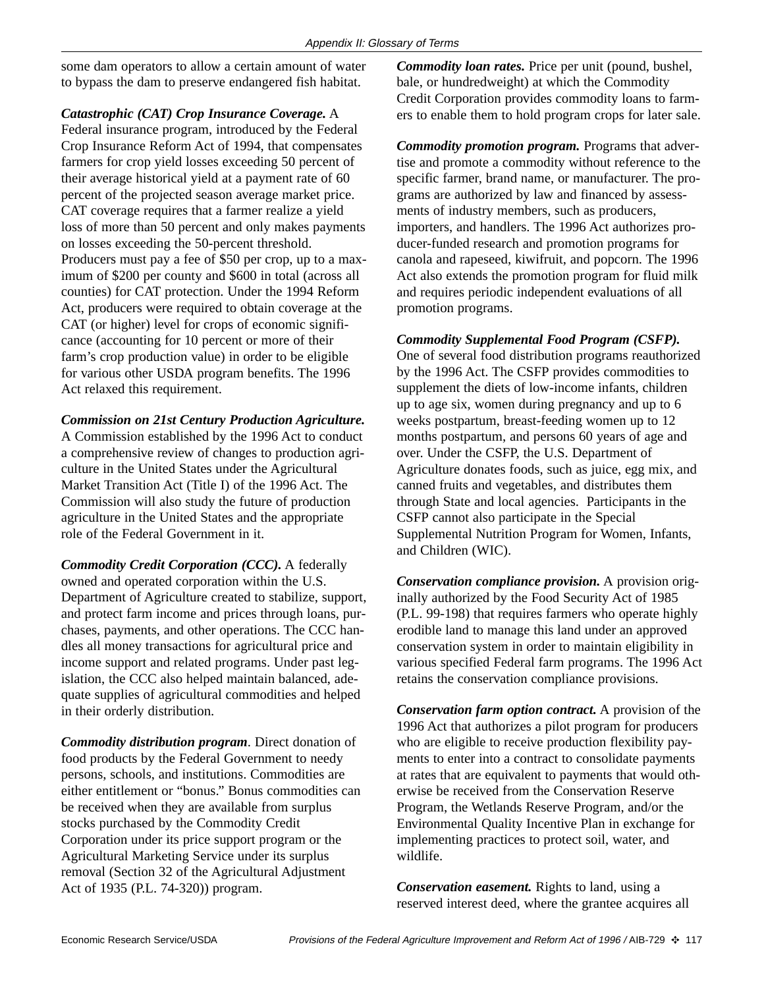some dam operators to allow a certain amount of water to bypass the dam to preserve endangered fish habitat.

*Catastrophic (CAT) Crop Insurance Coverage.* A Federal insurance program, introduced by the Federal Crop Insurance Reform Act of 1994, that compensates farmers for crop yield losses exceeding 50 percent of their average historical yield at a payment rate of 60 percent of the projected season average market price. CAT coverage requires that a farmer realize a yield loss of more than 50 percent and only makes payments on losses exceeding the 50-percent threshold. Producers must pay a fee of \$50 per crop, up to a maximum of \$200 per county and \$600 in total (across all counties) for CAT protection. Under the 1994 Reform Act, producers were required to obtain coverage at the CAT (or higher) level for crops of economic significance (accounting for 10 percent or more of their farm's crop production value) in order to be eligible for various other USDA program benefits. The 1996 Act relaxed this requirement.

#### *Commission on 21st Century Production Agriculture.*

A Commission established by the 1996 Act to conduct a comprehensive review of changes to production agriculture in the United States under the Agricultural Market Transition Act (Title I) of the 1996 Act. The Commission will also study the future of production agriculture in the United States and the appropriate role of the Federal Government in it.

*Commodity Credit Corporation (CCC).* A federally owned and operated corporation within the U.S. Department of Agriculture created to stabilize, support, and protect farm income and prices through loans, purchases, payments, and other operations. The CCC handles all money transactions for agricultural price and income support and related programs. Under past legislation, the CCC also helped maintain balanced, adequate supplies of agricultural commodities and helped in their orderly distribution.

*Commodity distribution program*. Direct donation of food products by the Federal Government to needy persons, schools, and institutions. Commodities are either entitlement or "bonus." Bonus commodities can be received when they are available from surplus stocks purchased by the Commodity Credit Corporation under its price support program or the Agricultural Marketing Service under its surplus removal (Section 32 of the Agricultural Adjustment Act of 1935 (P.L. 74-320)) program.

*Commodity loan rates.* Price per unit (pound, bushel, bale, or hundredweight) at which the Commodity Credit Corporation provides commodity loans to farmers to enable them to hold program crops for later sale.

*Commodity promotion program.* Programs that advertise and promote a commodity without reference to the specific farmer, brand name, or manufacturer. The programs are authorized by law and financed by assessments of industry members, such as producers, importers, and handlers. The 1996 Act authorizes producer-funded research and promotion programs for canola and rapeseed, kiwifruit, and popcorn. The 1996 Act also extends the promotion program for fluid milk and requires periodic independent evaluations of all promotion programs.

## *Commodity Supplemental Food Program (CSFP).*

One of several food distribution programs reauthorized by the 1996 Act. The CSFP provides commodities to supplement the diets of low-income infants, children up to age six, women during pregnancy and up to 6 weeks postpartum, breast-feeding women up to 12 months postpartum, and persons 60 years of age and over. Under the CSFP, the U.S. Department of Agriculture donates foods, such as juice, egg mix, and canned fruits and vegetables, and distributes them through State and local agencies. Participants in the CSFP cannot also participate in the Special Supplemental Nutrition Program for Women, Infants, and Children (WIC).

*Conservation compliance provision.* A provision originally authorized by the Food Security Act of 1985 (P.L. 99-198) that requires farmers who operate highly erodible land to manage this land under an approved conservation system in order to maintain eligibility in various specified Federal farm programs. The 1996 Act retains the conservation compliance provisions.

*Conservation farm option contract.* A provision of the 1996 Act that authorizes a pilot program for producers who are eligible to receive production flexibility payments to enter into a contract to consolidate payments at rates that are equivalent to payments that would otherwise be received from the Conservation Reserve Program, the Wetlands Reserve Program, and/or the Environmental Quality Incentive Plan in exchange for implementing practices to protect soil, water, and wildlife.

*Conservation easement.* Rights to land, using a reserved interest deed, where the grantee acquires all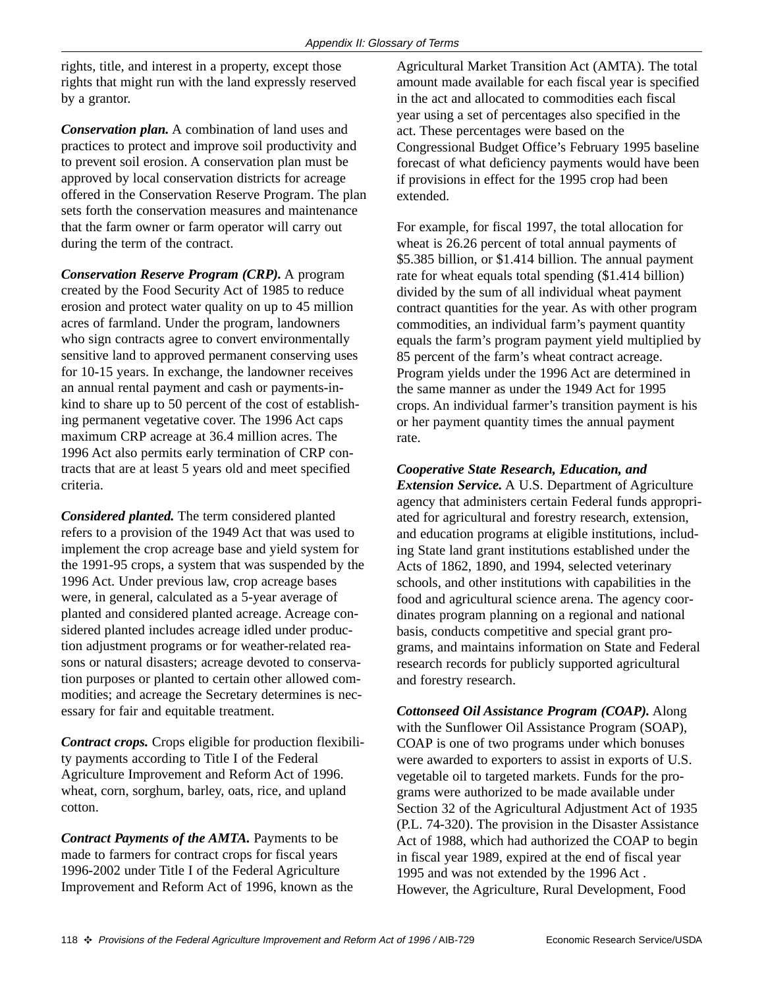rights, title, and interest in a property, except those rights that might run with the land expressly reserved by a grantor.

*Conservation plan.* A combination of land uses and practices to protect and improve soil productivity and to prevent soil erosion. A conservation plan must be approved by local conservation districts for acreage offered in the Conservation Reserve Program. The plan sets forth the conservation measures and maintenance that the farm owner or farm operator will carry out during the term of the contract.

*Conservation Reserve Program (CRP).* A program created by the Food Security Act of 1985 to reduce erosion and protect water quality on up to 45 million acres of farmland. Under the program, landowners who sign contracts agree to convert environmentally sensitive land to approved permanent conserving uses for 10-15 years. In exchange, the landowner receives an annual rental payment and cash or payments-inkind to share up to 50 percent of the cost of establishing permanent vegetative cover. The 1996 Act caps maximum CRP acreage at 36.4 million acres. The 1996 Act also permits early termination of CRP contracts that are at least 5 years old and meet specified criteria.

*Considered planted.* The term considered planted refers to a provision of the 1949 Act that was used to implement the crop acreage base and yield system for the 1991-95 crops, a system that was suspended by the 1996 Act. Under previous law, crop acreage bases were, in general, calculated as a 5-year average of planted and considered planted acreage. Acreage considered planted includes acreage idled under production adjustment programs or for weather-related reasons or natural disasters; acreage devoted to conservation purposes or planted to certain other allowed commodities; and acreage the Secretary determines is necessary for fair and equitable treatment.

*Contract crops.* Crops eligible for production flexibility payments according to Title I of the Federal Agriculture Improvement and Reform Act of 1996. wheat, corn, sorghum, barley, oats, rice, and upland cotton.

*Contract Payments of the AMTA.* Payments to be made to farmers for contract crops for fiscal years 1996-2002 under Title I of the Federal Agriculture Improvement and Reform Act of 1996, known as the

Agricultural Market Transition Act (AMTA). The total amount made available for each fiscal year is specified in the act and allocated to commodities each fiscal year using a set of percentages also specified in the act. These percentages were based on the Congressional Budget Office's February 1995 baseline forecast of what deficiency payments would have been if provisions in effect for the 1995 crop had been extended.

For example, for fiscal 1997, the total allocation for wheat is 26.26 percent of total annual payments of \$5.385 billion, or \$1.414 billion. The annual payment rate for wheat equals total spending (\$1.414 billion) divided by the sum of all individual wheat payment contract quantities for the year. As with other program commodities, an individual farm's payment quantity equals the farm's program payment yield multiplied by 85 percent of the farm's wheat contract acreage. Program yields under the 1996 Act are determined in the same manner as under the 1949 Act for 1995 crops. An individual farmer's transition payment is his or her payment quantity times the annual payment rate.

*Cooperative State Research, Education, and*

*Extension Service.* A U.S. Department of Agriculture agency that administers certain Federal funds appropriated for agricultural and forestry research, extension, and education programs at eligible institutions, including State land grant institutions established under the Acts of 1862, 1890, and 1994, selected veterinary schools, and other institutions with capabilities in the food and agricultural science arena. The agency coordinates program planning on a regional and national basis, conducts competitive and special grant programs, and maintains information on State and Federal research records for publicly supported agricultural and forestry research.

*Cottonseed Oil Assistance Program (COAP).* Along with the Sunflower Oil Assistance Program (SOAP), COAP is one of two programs under which bonuses were awarded to exporters to assist in exports of U.S. vegetable oil to targeted markets. Funds for the programs were authorized to be made available under Section 32 of the Agricultural Adjustment Act of 1935 (P.L. 74-320). The provision in the Disaster Assistance Act of 1988, which had authorized the COAP to begin in fiscal year 1989, expired at the end of fiscal year 1995 and was not extended by the 1996 Act . However, the Agriculture, Rural Development, Food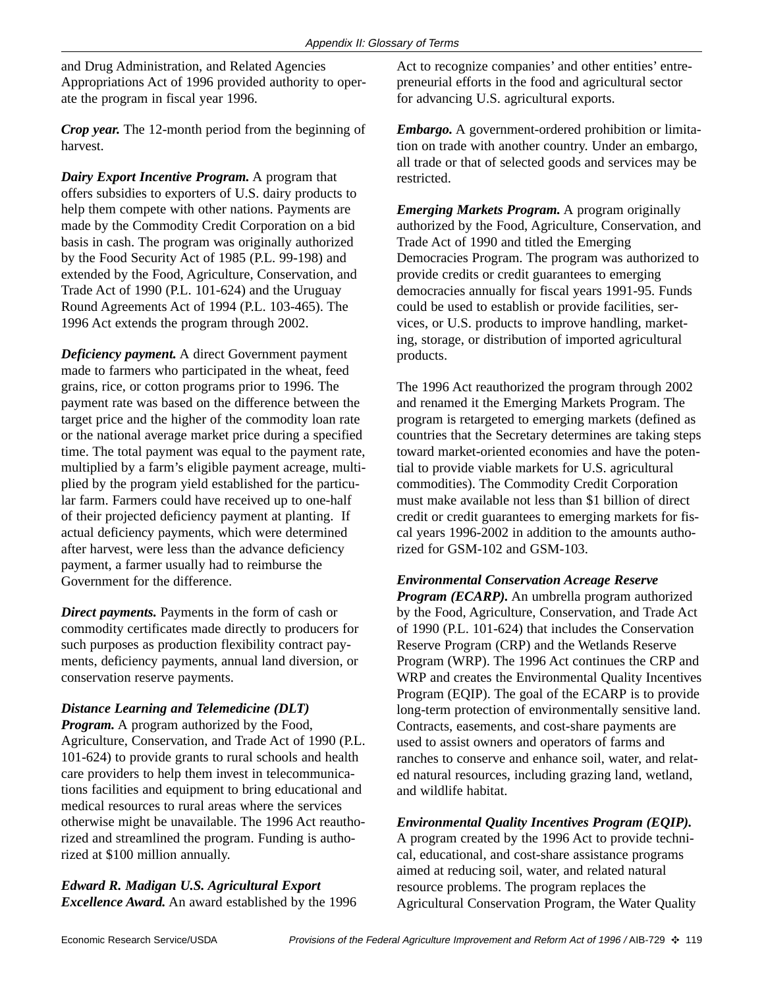and Drug Administration, and Related Agencies Appropriations Act of 1996 provided authority to operate the program in fiscal year 1996.

*Crop year.* The 12-month period from the beginning of harvest.

*Dairy Export Incentive Program.* A program that offers subsidies to exporters of U.S. dairy products to help them compete with other nations. Payments are made by the Commodity Credit Corporation on a bid basis in cash. The program was originally authorized by the Food Security Act of 1985 (P.L. 99-198) and extended by the Food, Agriculture, Conservation, and Trade Act of 1990 (P.L. 101-624) and the Uruguay Round Agreements Act of 1994 (P.L. 103-465). The 1996 Act extends the program through 2002.

*Deficiency payment.* A direct Government payment made to farmers who participated in the wheat, feed grains, rice, or cotton programs prior to 1996. The payment rate was based on the difference between the target price and the higher of the commodity loan rate or the national average market price during a specified time. The total payment was equal to the payment rate, multiplied by a farm's eligible payment acreage, multiplied by the program yield established for the particular farm. Farmers could have received up to one-half of their projected deficiency payment at planting. If actual deficiency payments, which were determined after harvest, were less than the advance deficiency payment, a farmer usually had to reimburse the Government for the difference.

*Direct payments.* Payments in the form of cash or commodity certificates made directly to producers for such purposes as production flexibility contract payments, deficiency payments, annual land diversion, or conservation reserve payments.

# *Distance Learning and Telemedicine (DLT)*

*Program.* A program authorized by the Food, Agriculture, Conservation, and Trade Act of 1990 (P.L. 101-624) to provide grants to rural schools and health care providers to help them invest in telecommunications facilities and equipment to bring educational and medical resources to rural areas where the services otherwise might be unavailable. The 1996 Act reauthorized and streamlined the program. Funding is authorized at \$100 million annually.

*Edward R. Madigan U.S. Agricultural Export Excellence Award.* An award established by the 1996

Act to recognize companies' and other entities' entrepreneurial efforts in the food and agricultural sector for advancing U.S. agricultural exports.

*Embargo.* A government-ordered prohibition or limitation on trade with another country. Under an embargo, all trade or that of selected goods and services may be restricted.

*Emerging Markets Program.* A program originally authorized by the Food, Agriculture, Conservation, and Trade Act of 1990 and titled the Emerging Democracies Program. The program was authorized to provide credits or credit guarantees to emerging democracies annually for fiscal years 1991-95. Funds could be used to establish or provide facilities, services, or U.S. products to improve handling, marketing, storage, or distribution of imported agricultural products.

The 1996 Act reauthorized the program through 2002 and renamed it the Emerging Markets Program. The program is retargeted to emerging markets (defined as countries that the Secretary determines are taking steps toward market-oriented economies and have the potential to provide viable markets for U.S. agricultural commodities). The Commodity Credit Corporation must make available not less than \$1 billion of direct credit or credit guarantees to emerging markets for fiscal years 1996-2002 in addition to the amounts authorized for GSM-102 and GSM-103.

*Environmental Conservation Acreage Reserve Program (ECARP).* An umbrella program authorized by the Food, Agriculture, Conservation, and Trade Act of 1990 (P.L. 101-624) that includes the Conservation Reserve Program (CRP) and the Wetlands Reserve Program (WRP). The 1996 Act continues the CRP and WRP and creates the Environmental Quality Incentives Program (EQIP). The goal of the ECARP is to provide long-term protection of environmentally sensitive land. Contracts, easements, and cost-share payments are used to assist owners and operators of farms and ranches to conserve and enhance soil, water, and related natural resources, including grazing land, wetland, and wildlife habitat.

*Environmental Quality Incentives Program (EQIP).*

A program created by the 1996 Act to provide technical, educational, and cost-share assistance programs aimed at reducing soil, water, and related natural resource problems. The program replaces the Agricultural Conservation Program, the Water Quality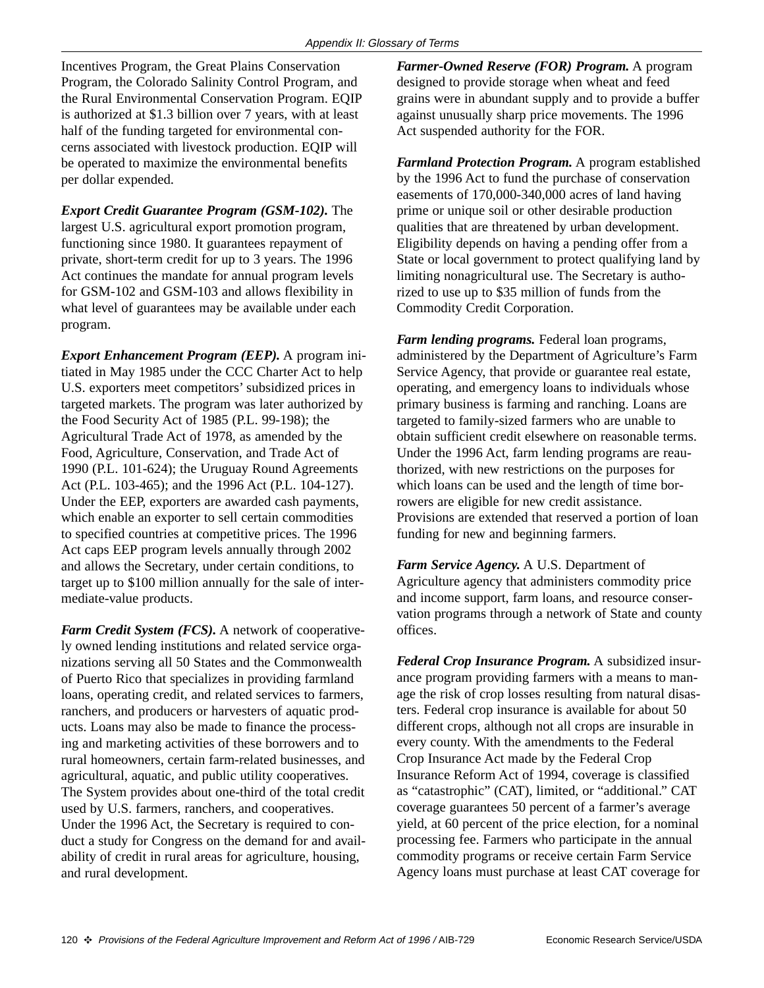Incentives Program, the Great Plains Conservation Program, the Colorado Salinity Control Program, and the Rural Environmental Conservation Program. EQIP is authorized at \$1.3 billion over 7 years, with at least half of the funding targeted for environmental concerns associated with livestock production. EQIP will be operated to maximize the environmental benefits per dollar expended.

*Export Credit Guarantee Program (GSM-102).* The largest U.S. agricultural export promotion program, functioning since 1980. It guarantees repayment of private, short-term credit for up to 3 years. The 1996 Act continues the mandate for annual program levels for GSM-102 and GSM-103 and allows flexibility in what level of guarantees may be available under each program.

*Export Enhancement Program (EEP).* A program initiated in May 1985 under the CCC Charter Act to help U.S. exporters meet competitors' subsidized prices in targeted markets. The program was later authorized by the Food Security Act of 1985 (P.L. 99-198); the Agricultural Trade Act of 1978, as amended by the Food, Agriculture, Conservation, and Trade Act of 1990 (P.L. 101-624); the Uruguay Round Agreements Act (P.L. 103-465); and the 1996 Act (P.L. 104-127). Under the EEP, exporters are awarded cash payments, which enable an exporter to sell certain commodities to specified countries at competitive prices. The 1996 Act caps EEP program levels annually through 2002 and allows the Secretary, under certain conditions, to target up to \$100 million annually for the sale of intermediate-value products.

*Farm Credit System (FCS).* A network of cooperatively owned lending institutions and related service organizations serving all 50 States and the Commonwealth of Puerto Rico that specializes in providing farmland loans, operating credit, and related services to farmers, ranchers, and producers or harvesters of aquatic products. Loans may also be made to finance the processing and marketing activities of these borrowers and to rural homeowners, certain farm-related businesses, and agricultural, aquatic, and public utility cooperatives. The System provides about one-third of the total credit used by U.S. farmers, ranchers, and cooperatives. Under the 1996 Act, the Secretary is required to conduct a study for Congress on the demand for and availability of credit in rural areas for agriculture, housing, and rural development.

*Farmer-Owned Reserve (FOR) Program.* A program designed to provide storage when wheat and feed grains were in abundant supply and to provide a buffer against unusually sharp price movements. The 1996 Act suspended authority for the FOR.

*Farmland Protection Program.* A program established by the 1996 Act to fund the purchase of conservation easements of 170,000-340,000 acres of land having prime or unique soil or other desirable production qualities that are threatened by urban development. Eligibility depends on having a pending offer from a State or local government to protect qualifying land by limiting nonagricultural use. The Secretary is authorized to use up to \$35 million of funds from the Commodity Credit Corporation.

*Farm lending programs.* Federal loan programs, administered by the Department of Agriculture's Farm Service Agency, that provide or guarantee real estate, operating, and emergency loans to individuals whose primary business is farming and ranching. Loans are targeted to family-sized farmers who are unable to obtain sufficient credit elsewhere on reasonable terms. Under the 1996 Act, farm lending programs are reauthorized, with new restrictions on the purposes for which loans can be used and the length of time borrowers are eligible for new credit assistance. Provisions are extended that reserved a portion of loan funding for new and beginning farmers.

*Farm Service Agency.* A U.S. Department of Agriculture agency that administers commodity price and income support, farm loans, and resource conservation programs through a network of State and county offices.

*Federal Crop Insurance Program.* A subsidized insurance program providing farmers with a means to manage the risk of crop losses resulting from natural disasters. Federal crop insurance is available for about 50 different crops, although not all crops are insurable in every county. With the amendments to the Federal Crop Insurance Act made by the Federal Crop Insurance Reform Act of 1994, coverage is classified as "catastrophic" (CAT), limited, or "additional." CAT coverage guarantees 50 percent of a farmer's average yield, at 60 percent of the price election, for a nominal processing fee. Farmers who participate in the annual commodity programs or receive certain Farm Service Agency loans must purchase at least CAT coverage for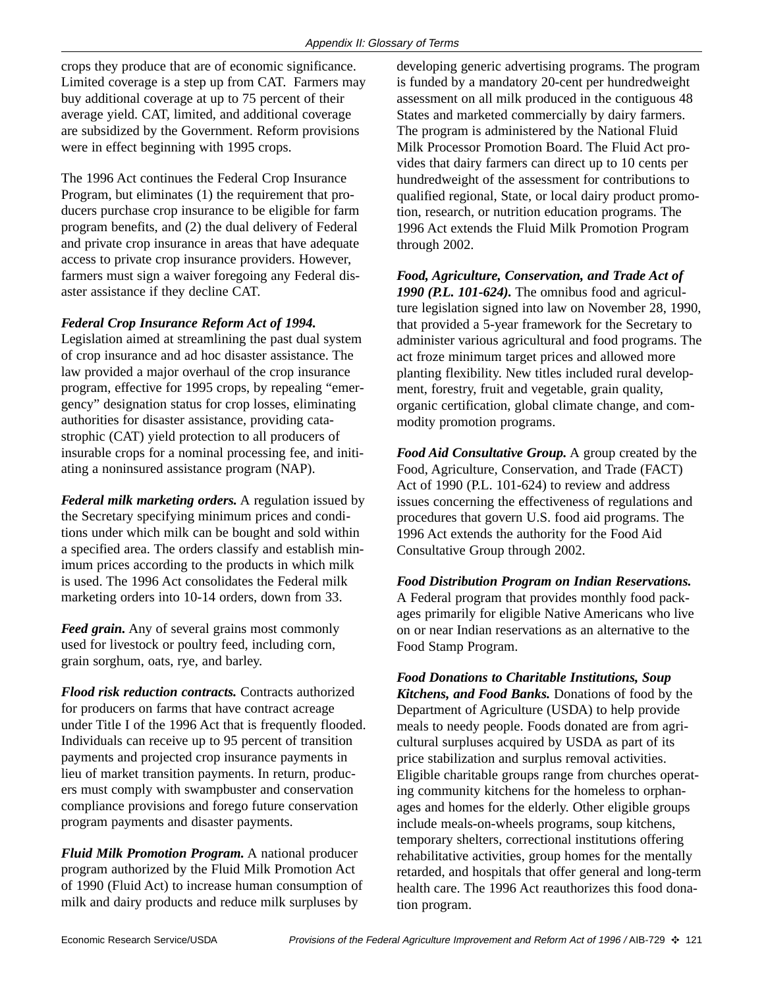crops they produce that are of economic significance. Limited coverage is a step up from CAT. Farmers may buy additional coverage at up to 75 percent of their average yield. CAT, limited, and additional coverage are subsidized by the Government. Reform provisions were in effect beginning with 1995 crops.

The 1996 Act continues the Federal Crop Insurance Program, but eliminates (1) the requirement that producers purchase crop insurance to be eligible for farm program benefits, and (2) the dual delivery of Federal and private crop insurance in areas that have adequate access to private crop insurance providers. However, farmers must sign a waiver foregoing any Federal disaster assistance if they decline CAT.

#### *Federal Crop Insurance Reform Act of 1994.*

Legislation aimed at streamlining the past dual system of crop insurance and ad hoc disaster assistance. The law provided a major overhaul of the crop insurance program, effective for 1995 crops, by repealing "emergency" designation status for crop losses, eliminating authorities for disaster assistance, providing catastrophic (CAT) yield protection to all producers of insurable crops for a nominal processing fee, and initiating a noninsured assistance program (NAP).

*Federal milk marketing orders.* A regulation issued by the Secretary specifying minimum prices and conditions under which milk can be bought and sold within a specified area. The orders classify and establish minimum prices according to the products in which milk is used. The 1996 Act consolidates the Federal milk marketing orders into 10-14 orders, down from 33.

*Feed grain.* Any of several grains most commonly used for livestock or poultry feed, including corn, grain sorghum, oats, rye, and barley.

*Flood risk reduction contracts.* Contracts authorized for producers on farms that have contract acreage under Title I of the 1996 Act that is frequently flooded. Individuals can receive up to 95 percent of transition payments and projected crop insurance payments in lieu of market transition payments. In return, producers must comply with swampbuster and conservation compliance provisions and forego future conservation program payments and disaster payments.

*Fluid Milk Promotion Program.* A national producer program authorized by the Fluid Milk Promotion Act of 1990 (Fluid Act) to increase human consumption of milk and dairy products and reduce milk surpluses by

developing generic advertising programs. The program is funded by a mandatory 20-cent per hundredweight assessment on all milk produced in the contiguous 48 States and marketed commercially by dairy farmers. The program is administered by the National Fluid Milk Processor Promotion Board. The Fluid Act provides that dairy farmers can direct up to 10 cents per hundredweight of the assessment for contributions to qualified regional, State, or local dairy product promotion, research, or nutrition education programs. The 1996 Act extends the Fluid Milk Promotion Program through 2002.

*Food, Agriculture, Conservation, and Trade Act of 1990 (P.L. 101-624).* The omnibus food and agriculture legislation signed into law on November 28, 1990, that provided a 5-year framework for the Secretary to administer various agricultural and food programs. The act froze minimum target prices and allowed more planting flexibility. New titles included rural development, forestry, fruit and vegetable, grain quality, organic certification, global climate change, and commodity promotion programs.

*Food Aid Consultative Group.* A group created by the Food, Agriculture, Conservation, and Trade (FACT) Act of 1990 (P.L. 101-624) to review and address issues concerning the effectiveness of regulations and procedures that govern U.S. food aid programs. The 1996 Act extends the authority for the Food Aid Consultative Group through 2002.

*Food Distribution Program on Indian Reservations.* A Federal program that provides monthly food packages primarily for eligible Native Americans who live on or near Indian reservations as an alternative to the Food Stamp Program.

*Food Donations to Charitable Institutions, Soup Kitchens, and Food Banks.* Donations of food by the Department of Agriculture (USDA) to help provide meals to needy people. Foods donated are from agricultural surpluses acquired by USDA as part of its price stabilization and surplus removal activities. Eligible charitable groups range from churches operating community kitchens for the homeless to orphanages and homes for the elderly. Other eligible groups include meals-on-wheels programs, soup kitchens, temporary shelters, correctional institutions offering rehabilitative activities, group homes for the mentally retarded, and hospitals that offer general and long-term health care. The 1996 Act reauthorizes this food donation program.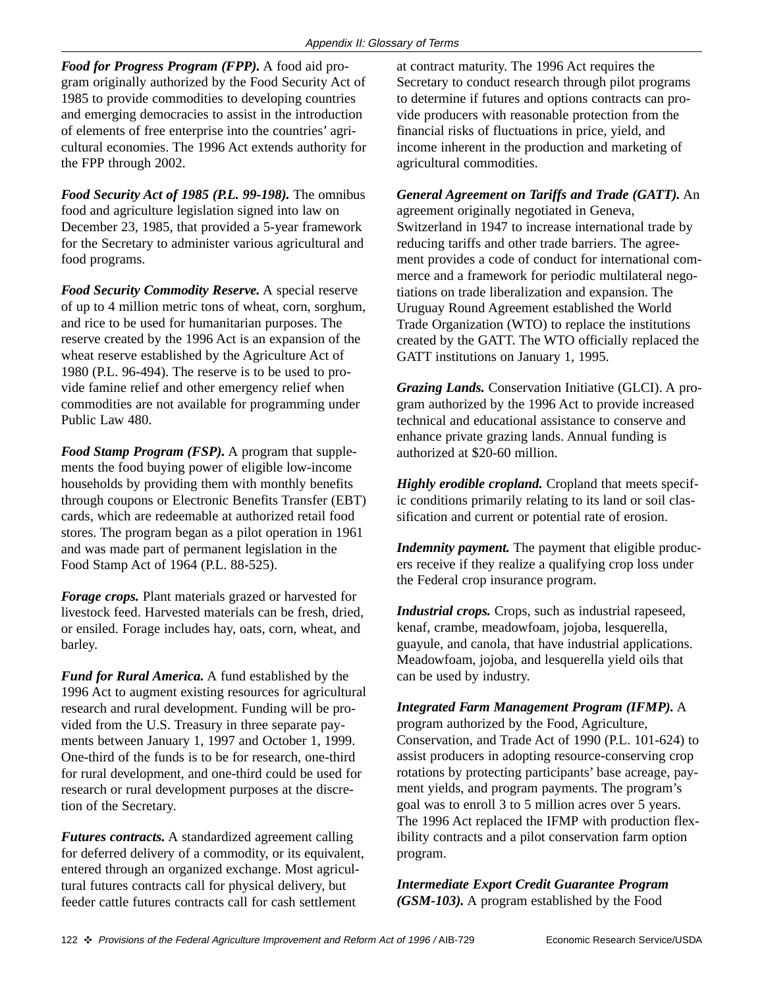*Food for Progress Program (FPP).* A food aid program originally authorized by the Food Security Act of 1985 to provide commodities to developing countries and emerging democracies to assist in the introduction of elements of free enterprise into the countries' agricultural economies. The 1996 Act extends authority for the FPP through 2002.

*Food Security Act of 1985 (P.L. 99-198).* The omnibus food and agriculture legislation signed into law on December 23, 1985, that provided a 5-year framework for the Secretary to administer various agricultural and food programs.

*Food Security Commodity Reserve.* A special reserve of up to 4 million metric tons of wheat, corn, sorghum, and rice to be used for humanitarian purposes. The reserve created by the 1996 Act is an expansion of the wheat reserve established by the Agriculture Act of 1980 (P.L. 96-494). The reserve is to be used to provide famine relief and other emergency relief when commodities are not available for programming under Public Law 480.

*Food Stamp Program (FSP).* A program that supplements the food buying power of eligible low-income households by providing them with monthly benefits through coupons or Electronic Benefits Transfer (EBT) cards, which are redeemable at authorized retail food stores. The program began as a pilot operation in 1961 and was made part of permanent legislation in the Food Stamp Act of 1964 (P.L. 88-525).

*Forage crops.* Plant materials grazed or harvested for livestock feed. Harvested materials can be fresh, dried, or ensiled. Forage includes hay, oats, corn, wheat, and barley.

*Fund for Rural America.* A fund established by the 1996 Act to augment existing resources for agricultural research and rural development. Funding will be provided from the U.S. Treasury in three separate payments between January 1, 1997 and October 1, 1999. One-third of the funds is to be for research, one-third for rural development, and one-third could be used for research or rural development purposes at the discretion of the Secretary.

*Futures contracts.* A standardized agreement calling for deferred delivery of a commodity, or its equivalent, entered through an organized exchange. Most agricultural futures contracts call for physical delivery, but feeder cattle futures contracts call for cash settlement

at contract maturity. The 1996 Act requires the Secretary to conduct research through pilot programs to determine if futures and options contracts can provide producers with reasonable protection from the financial risks of fluctuations in price, yield, and income inherent in the production and marketing of agricultural commodities.

*General Agreement on Tariffs and Trade (GATT).* An agreement originally negotiated in Geneva, Switzerland in 1947 to increase international trade by reducing tariffs and other trade barriers. The agreement provides a code of conduct for international commerce and a framework for periodic multilateral negotiations on trade liberalization and expansion. The Uruguay Round Agreement established the World Trade Organization (WTO) to replace the institutions created by the GATT. The WTO officially replaced the GATT institutions on January 1, 1995.

*Grazing Lands.* Conservation Initiative (GLCI). A program authorized by the 1996 Act to provide increased technical and educational assistance to conserve and enhance private grazing lands. Annual funding is authorized at \$20-60 million.

*Highly erodible cropland.* Cropland that meets specific conditions primarily relating to its land or soil classification and current or potential rate of erosion.

*Indemnity payment.* The payment that eligible producers receive if they realize a qualifying crop loss under the Federal crop insurance program.

*Industrial crops.* Crops, such as industrial rapeseed, kenaf, crambe, meadowfoam, jojoba, lesquerella, guayule, and canola, that have industrial applications. Meadowfoam, jojoba, and lesquerella yield oils that can be used by industry.

*Integrated Farm Management Program (IFMP).* A program authorized by the Food, Agriculture, Conservation, and Trade Act of 1990 (P.L. 101-624) to assist producers in adopting resource-conserving crop rotations by protecting participants' base acreage, payment yields, and program payments. The program's goal was to enroll 3 to 5 million acres over 5 years. The 1996 Act replaced the IFMP with production flexibility contracts and a pilot conservation farm option program.

*Intermediate Export Credit Guarantee Program (GSM-103).* A program established by the Food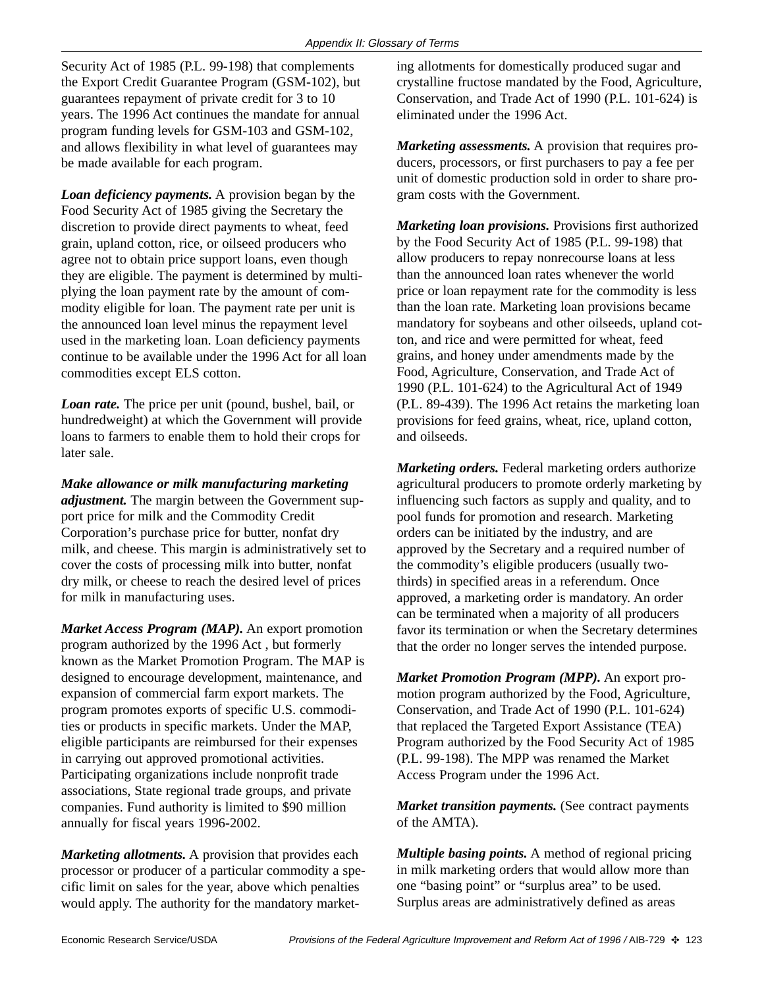Security Act of 1985 (P.L. 99-198) that complements the Export Credit Guarantee Program (GSM-102), but guarantees repayment of private credit for 3 to 10 years. The 1996 Act continues the mandate for annual program funding levels for GSM-103 and GSM-102, and allows flexibility in what level of guarantees may be made available for each program.

*Loan deficiency payments.* A provision began by the Food Security Act of 1985 giving the Secretary the discretion to provide direct payments to wheat, feed grain, upland cotton, rice, or oilseed producers who agree not to obtain price support loans, even though they are eligible. The payment is determined by multiplying the loan payment rate by the amount of commodity eligible for loan. The payment rate per unit is the announced loan level minus the repayment level used in the marketing loan. Loan deficiency payments continue to be available under the 1996 Act for all loan commodities except ELS cotton.

*Loan rate.* The price per unit (pound, bushel, bail, or hundredweight) at which the Government will provide loans to farmers to enable them to hold their crops for later sale.

*Make allowance or milk manufacturing marketing adjustment.* The margin between the Government support price for milk and the Commodity Credit Corporation's purchase price for butter, nonfat dry milk, and cheese. This margin is administratively set to cover the costs of processing milk into butter, nonfat dry milk, or cheese to reach the desired level of prices for milk in manufacturing uses.

*Market Access Program (MAP).* An export promotion program authorized by the 1996 Act , but formerly known as the Market Promotion Program. The MAP is designed to encourage development, maintenance, and expansion of commercial farm export markets. The program promotes exports of specific U.S. commodities or products in specific markets. Under the MAP, eligible participants are reimbursed for their expenses in carrying out approved promotional activities. Participating organizations include nonprofit trade associations, State regional trade groups, and private companies. Fund authority is limited to \$90 million annually for fiscal years 1996-2002.

*Marketing allotments.* A provision that provides each processor or producer of a particular commodity a specific limit on sales for the year, above which penalties would apply. The authority for the mandatory marketing allotments for domestically produced sugar and crystalline fructose mandated by the Food, Agriculture, Conservation, and Trade Act of 1990 (P.L. 101-624) is eliminated under the 1996 Act.

*Marketing assessments.* A provision that requires producers, processors, or first purchasers to pay a fee per unit of domestic production sold in order to share program costs with the Government.

*Marketing loan provisions.* Provisions first authorized by the Food Security Act of 1985 (P.L. 99-198) that allow producers to repay nonrecourse loans at less than the announced loan rates whenever the world price or loan repayment rate for the commodity is less than the loan rate. Marketing loan provisions became mandatory for soybeans and other oilseeds, upland cotton, and rice and were permitted for wheat, feed grains, and honey under amendments made by the Food, Agriculture, Conservation, and Trade Act of 1990 (P.L. 101-624) to the Agricultural Act of 1949 (P.L. 89-439). The 1996 Act retains the marketing loan provisions for feed grains, wheat, rice, upland cotton, and oilseeds.

*Marketing orders.* Federal marketing orders authorize agricultural producers to promote orderly marketing by influencing such factors as supply and quality, and to pool funds for promotion and research. Marketing orders can be initiated by the industry, and are approved by the Secretary and a required number of the commodity's eligible producers (usually twothirds) in specified areas in a referendum. Once approved, a marketing order is mandatory. An order can be terminated when a majority of all producers favor its termination or when the Secretary determines that the order no longer serves the intended purpose.

*Market Promotion Program (MPP).* An export promotion program authorized by the Food, Agriculture, Conservation, and Trade Act of 1990 (P.L. 101-624) that replaced the Targeted Export Assistance (TEA) Program authorized by the Food Security Act of 1985 (P.L. 99-198). The MPP was renamed the Market Access Program under the 1996 Act.

*Market transition payments.* (See contract payments of the AMTA).

*Multiple basing points.* A method of regional pricing in milk marketing orders that would allow more than one "basing point" or "surplus area" to be used. Surplus areas are administratively defined as areas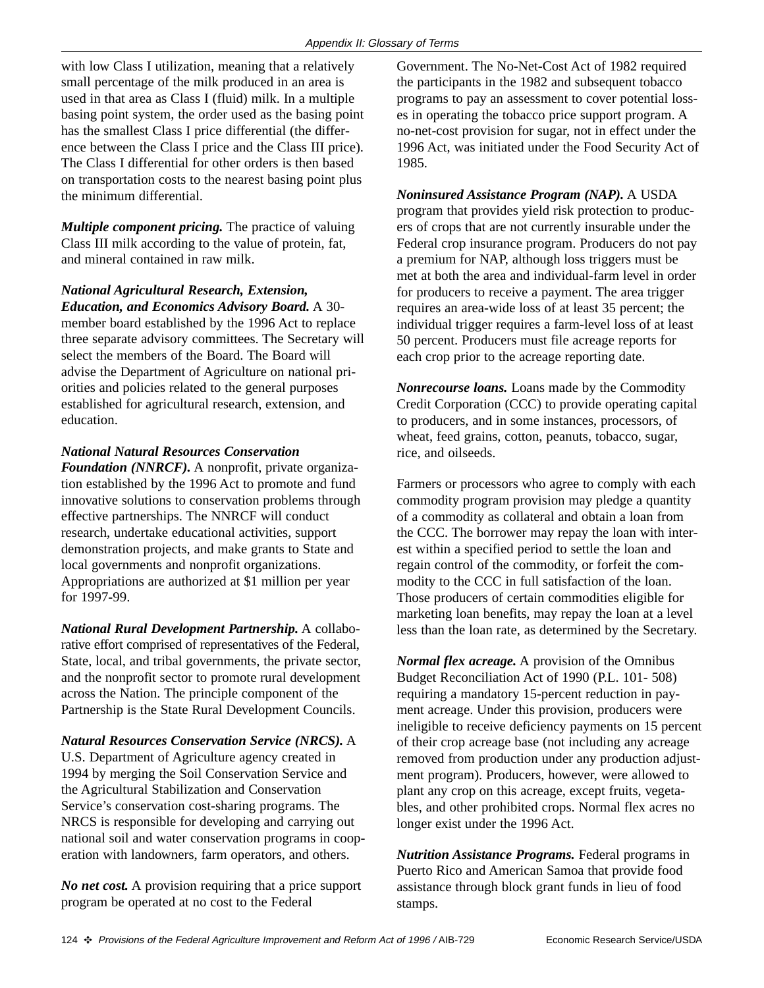with low Class I utilization, meaning that a relatively small percentage of the milk produced in an area is used in that area as Class I (fluid) milk. In a multiple basing point system, the order used as the basing point has the smallest Class I price differential (the difference between the Class I price and the Class III price). The Class I differential for other orders is then based on transportation costs to the nearest basing point plus the minimum differential.

*Multiple component pricing.* The practice of valuing Class III milk according to the value of protein, fat, and mineral contained in raw milk.

*National Agricultural Research, Extension, Education, and Economics Advisory Board.* A 30 member board established by the 1996 Act to replace three separate advisory committees. The Secretary will select the members of the Board. The Board will advise the Department of Agriculture on national priorities and policies related to the general purposes established for agricultural research, extension, and education.

#### *National Natural Resources Conservation*

*Foundation (NNRCF).* A nonprofit, private organization established by the 1996 Act to promote and fund innovative solutions to conservation problems through effective partnerships. The NNRCF will conduct research, undertake educational activities, support demonstration projects, and make grants to State and local governments and nonprofit organizations. Appropriations are authorized at \$1 million per year for 1997-99.

*National Rural Development Partnership.* A collaborative effort comprised of representatives of the Federal, State, local, and tribal governments, the private sector, and the nonprofit sector to promote rural development across the Nation. The principle component of the Partnership is the State Rural Development Councils.

#### *Natural Resources Conservation Service (NRCS).* A

U.S. Department of Agriculture agency created in 1994 by merging the Soil Conservation Service and the Agricultural Stabilization and Conservation Service's conservation cost-sharing programs. The NRCS is responsible for developing and carrying out national soil and water conservation programs in cooperation with landowners, farm operators, and others.

*No net cost.* A provision requiring that a price support program be operated at no cost to the Federal

Government. The No-Net-Cost Act of 1982 required the participants in the 1982 and subsequent tobacco programs to pay an assessment to cover potential losses in operating the tobacco price support program. A no-net-cost provision for sugar, not in effect under the 1996 Act, was initiated under the Food Security Act of 1985.

*Noninsured Assistance Program (NAP).* A USDA program that provides yield risk protection to producers of crops that are not currently insurable under the Federal crop insurance program. Producers do not pay a premium for NAP, although loss triggers must be met at both the area and individual-farm level in order for producers to receive a payment. The area trigger requires an area-wide loss of at least 35 percent; the individual trigger requires a farm-level loss of at least 50 percent. Producers must file acreage reports for each crop prior to the acreage reporting date.

*Nonrecourse loans.* Loans made by the Commodity Credit Corporation (CCC) to provide operating capital to producers, and in some instances, processors, of wheat, feed grains, cotton, peanuts, tobacco, sugar, rice, and oilseeds.

Farmers or processors who agree to comply with each commodity program provision may pledge a quantity of a commodity as collateral and obtain a loan from the CCC. The borrower may repay the loan with interest within a specified period to settle the loan and regain control of the commodity, or forfeit the commodity to the CCC in full satisfaction of the loan. Those producers of certain commodities eligible for marketing loan benefits, may repay the loan at a level less than the loan rate, as determined by the Secretary.

*Normal flex acreage.* A provision of the Omnibus Budget Reconciliation Act of 1990 (P.L. 101- 508) requiring a mandatory 15-percent reduction in payment acreage. Under this provision, producers were ineligible to receive deficiency payments on 15 percent of their crop acreage base (not including any acreage removed from production under any production adjustment program). Producers, however, were allowed to plant any crop on this acreage, except fruits, vegetables, and other prohibited crops. Normal flex acres no longer exist under the 1996 Act.

*Nutrition Assistance Programs.* Federal programs in Puerto Rico and American Samoa that provide food assistance through block grant funds in lieu of food stamps.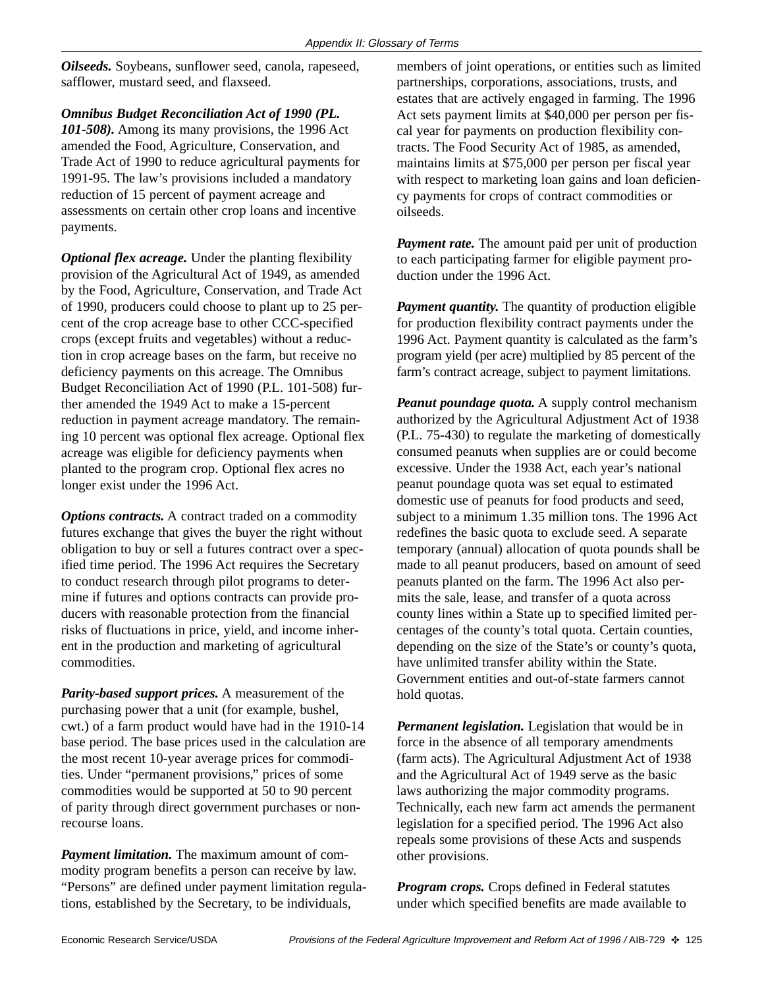*Oilseeds.* Soybeans, sunflower seed, canola, rapeseed, safflower, mustard seed, and flaxseed.

*Omnibus Budget Reconciliation Act of 1990 (PL. 101-508).* Among its many provisions, the 1996 Act amended the Food, Agriculture, Conservation, and Trade Act of 1990 to reduce agricultural payments for 1991-95. The law's provisions included a mandatory reduction of 15 percent of payment acreage and assessments on certain other crop loans and incentive payments.

*Optional flex acreage.* Under the planting flexibility provision of the Agricultural Act of 1949, as amended by the Food, Agriculture, Conservation, and Trade Act of 1990, producers could choose to plant up to 25 percent of the crop acreage base to other CCC-specified crops (except fruits and vegetables) without a reduction in crop acreage bases on the farm, but receive no deficiency payments on this acreage. The Omnibus Budget Reconciliation Act of 1990 (P.L. 101-508) further amended the 1949 Act to make a 15-percent reduction in payment acreage mandatory. The remaining 10 percent was optional flex acreage. Optional flex acreage was eligible for deficiency payments when planted to the program crop. Optional flex acres no longer exist under the 1996 Act.

*Options contracts.* A contract traded on a commodity futures exchange that gives the buyer the right without obligation to buy or sell a futures contract over a specified time period. The 1996 Act requires the Secretary to conduct research through pilot programs to determine if futures and options contracts can provide producers with reasonable protection from the financial risks of fluctuations in price, yield, and income inherent in the production and marketing of agricultural commodities.

*Parity-based support prices.* A measurement of the purchasing power that a unit (for example, bushel, cwt.) of a farm product would have had in the 1910-14 base period. The base prices used in the calculation are the most recent 10-year average prices for commodities. Under "permanent provisions," prices of some commodities would be supported at 50 to 90 percent of parity through direct government purchases or nonrecourse loans.

*Payment limitation.* The maximum amount of commodity program benefits a person can receive by law. "Persons" are defined under payment limitation regulations, established by the Secretary, to be individuals,

members of joint operations, or entities such as limited partnerships, corporations, associations, trusts, and estates that are actively engaged in farming. The 1996 Act sets payment limits at \$40,000 per person per fiscal year for payments on production flexibility contracts. The Food Security Act of 1985, as amended, maintains limits at \$75,000 per person per fiscal year with respect to marketing loan gains and loan deficiency payments for crops of contract commodities or oilseeds.

*Payment rate.* The amount paid per unit of production to each participating farmer for eligible payment production under the 1996 Act.

*Payment quantity.* The quantity of production eligible for production flexibility contract payments under the 1996 Act. Payment quantity is calculated as the farm's program yield (per acre) multiplied by 85 percent of the farm's contract acreage, subject to payment limitations.

*Peanut poundage quota.* A supply control mechanism authorized by the Agricultural Adjustment Act of 1938 (P.L. 75-430) to regulate the marketing of domestically consumed peanuts when supplies are or could become excessive. Under the 1938 Act, each year's national peanut poundage quota was set equal to estimated domestic use of peanuts for food products and seed, subject to a minimum 1.35 million tons. The 1996 Act redefines the basic quota to exclude seed. A separate temporary (annual) allocation of quota pounds shall be made to all peanut producers, based on amount of seed peanuts planted on the farm. The 1996 Act also permits the sale, lease, and transfer of a quota across county lines within a State up to specified limited percentages of the county's total quota. Certain counties, depending on the size of the State's or county's quota, have unlimited transfer ability within the State. Government entities and out-of-state farmers cannot hold quotas.

*Permanent legislation.* Legislation that would be in force in the absence of all temporary amendments (farm acts). The Agricultural Adjustment Act of 1938 and the Agricultural Act of 1949 serve as the basic laws authorizing the major commodity programs. Technically, each new farm act amends the permanent legislation for a specified period. The 1996 Act also repeals some provisions of these Acts and suspends other provisions.

*Program crops.* Crops defined in Federal statutes under which specified benefits are made available to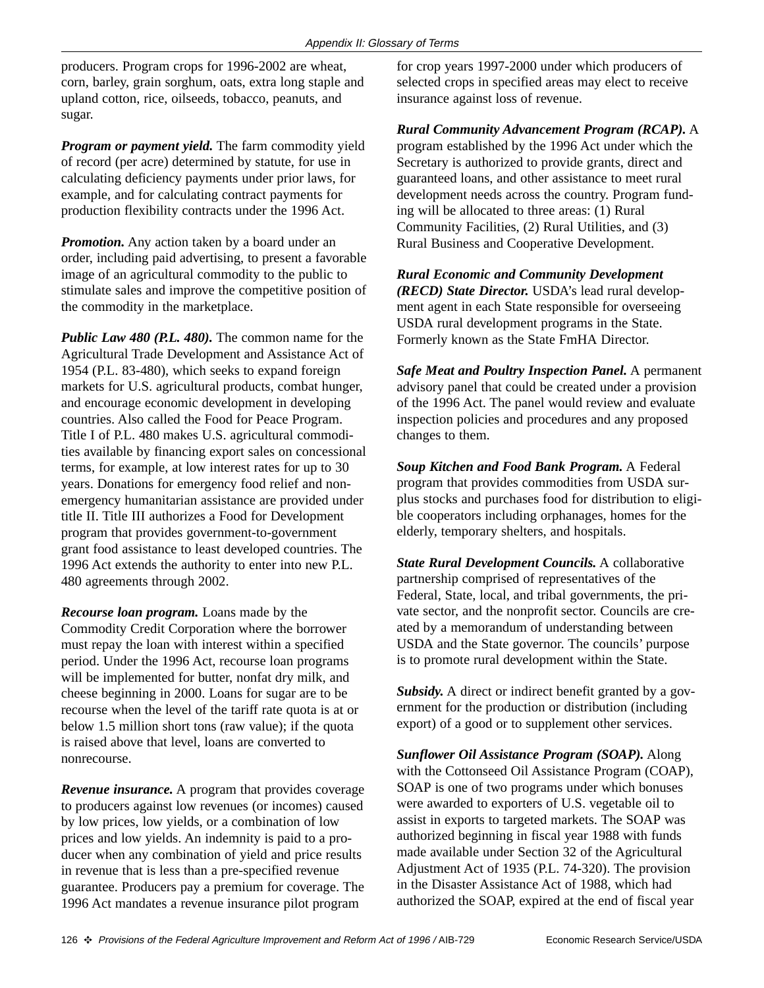producers. Program crops for 1996-2002 are wheat, corn, barley, grain sorghum, oats, extra long staple and upland cotton, rice, oilseeds, tobacco, peanuts, and sugar.

*Program or payment yield.* The farm commodity yield of record (per acre) determined by statute, for use in calculating deficiency payments under prior laws, for example, and for calculating contract payments for production flexibility contracts under the 1996 Act.

*Promotion.* Any action taken by a board under an order, including paid advertising, to present a favorable image of an agricultural commodity to the public to stimulate sales and improve the competitive position of the commodity in the marketplace.

*Public Law 480 (P.L. 480).* The common name for the Agricultural Trade Development and Assistance Act of 1954 (P.L. 83-480), which seeks to expand foreign markets for U.S. agricultural products, combat hunger, and encourage economic development in developing countries. Also called the Food for Peace Program. Title I of P.L. 480 makes U.S. agricultural commodities available by financing export sales on concessional terms, for example, at low interest rates for up to 30 years. Donations for emergency food relief and nonemergency humanitarian assistance are provided under title II. Title III authorizes a Food for Development program that provides government-to-government grant food assistance to least developed countries. The 1996 Act extends the authority to enter into new P.L. 480 agreements through 2002.

*Recourse loan program.* Loans made by the Commodity Credit Corporation where the borrower must repay the loan with interest within a specified period. Under the 1996 Act, recourse loan programs will be implemented for butter, nonfat dry milk, and cheese beginning in 2000. Loans for sugar are to be recourse when the level of the tariff rate quota is at or below 1.5 million short tons (raw value); if the quota is raised above that level, loans are converted to nonrecourse.

*Revenue insurance.* A program that provides coverage to producers against low revenues (or incomes) caused by low prices, low yields, or a combination of low prices and low yields. An indemnity is paid to a producer when any combination of yield and price results in revenue that is less than a pre-specified revenue guarantee. Producers pay a premium for coverage. The 1996 Act mandates a revenue insurance pilot program

for crop years 1997-2000 under which producers of selected crops in specified areas may elect to receive insurance against loss of revenue.

#### *Rural Community Advancement Program (RCAP).* A

program established by the 1996 Act under which the Secretary is authorized to provide grants, direct and guaranteed loans, and other assistance to meet rural development needs across the country. Program funding will be allocated to three areas: (1) Rural Community Facilities, (2) Rural Utilities, and (3) Rural Business and Cooperative Development.

*Rural Economic and Community Development (RECD) State Director.* USDA's lead rural development agent in each State responsible for overseeing USDA rural development programs in the State. Formerly known as the State FmHA Director.

*Safe Meat and Poultry Inspection Panel.* A permanent advisory panel that could be created under a provision of the 1996 Act. The panel would review and evaluate inspection policies and procedures and any proposed changes to them.

*Soup Kitchen and Food Bank Program.* A Federal program that provides commodities from USDA surplus stocks and purchases food for distribution to eligible cooperators including orphanages, homes for the elderly, temporary shelters, and hospitals.

*State Rural Development Councils.* A collaborative partnership comprised of representatives of the Federal, State, local, and tribal governments, the private sector, and the nonprofit sector. Councils are created by a memorandum of understanding between USDA and the State governor. The councils' purpose is to promote rural development within the State.

*Subsidy.* A direct or indirect benefit granted by a government for the production or distribution (including export) of a good or to supplement other services.

*Sunflower Oil Assistance Program (SOAP).* Along with the Cottonseed Oil Assistance Program (COAP), SOAP is one of two programs under which bonuses were awarded to exporters of U.S. vegetable oil to assist in exports to targeted markets. The SOAP was authorized beginning in fiscal year 1988 with funds made available under Section 32 of the Agricultural Adjustment Act of 1935 (P.L. 74-320). The provision in the Disaster Assistance Act of 1988, which had authorized the SOAP, expired at the end of fiscal year